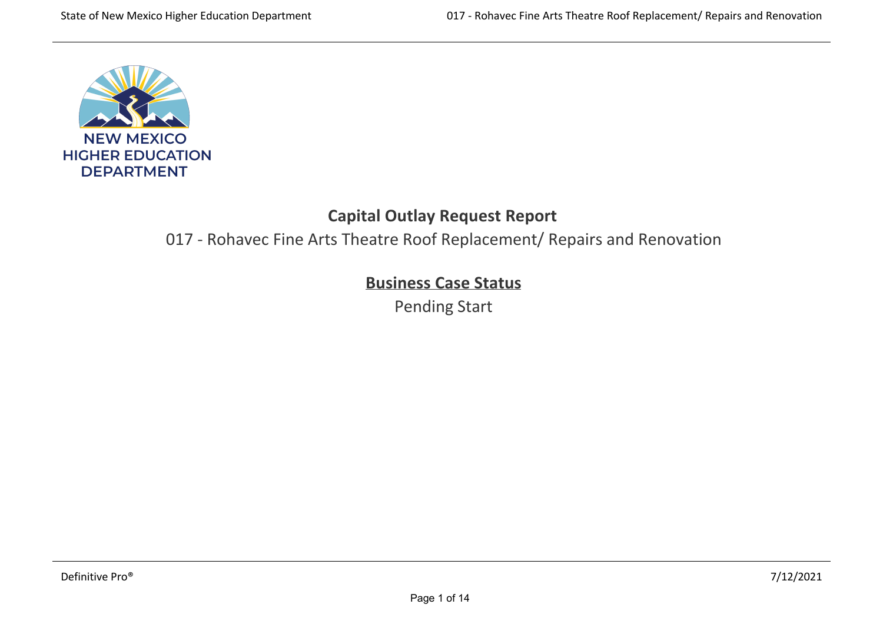

## **Capital Outlay Request Report**

017 ‐ Rohavec Fine Arts Theatre Roof Replacement/ Repairs and Renovation

# **Business Case Status**

Pending Start

**Renovation Information** The improvements to Rohevec Fine Arts building include an ADA Restroom Renovation in 1996; re‐roof in 1998; and lighting and ceiling upgrade in 2013.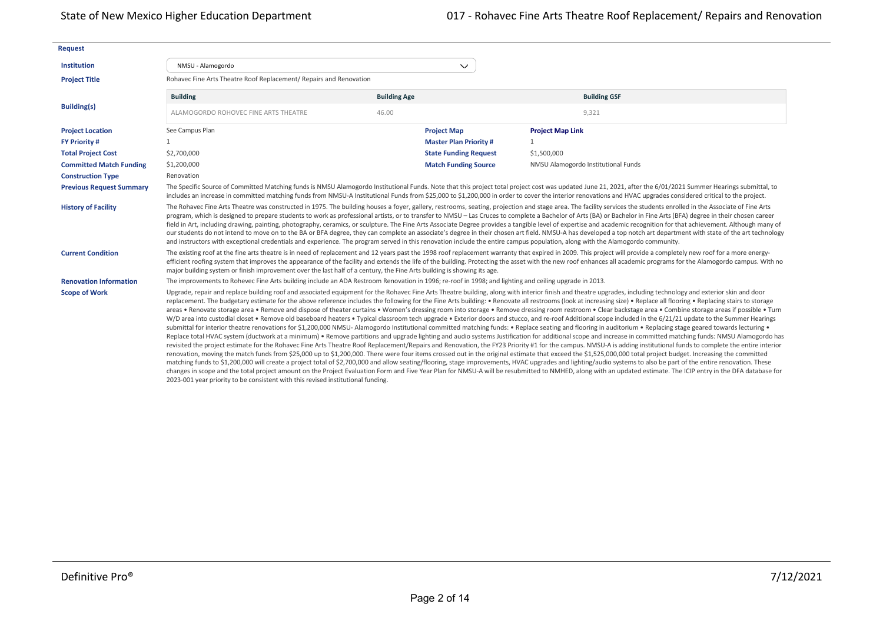| <b>Request</b>                  |                                                                                                                                                                               |                     |                              |                                                                                                                                                                                                                                                                                                                                                                                                                                                                                                                                                                                                                                                                                                                                                                                                                                                                                                                                                                                                                                                                                                                                                                                                                                                                                                                                                                                                                                                                                                                                                                                                                                                                                                                                                                                                                                                                                                                                                                                                                                                                                                                                                                                               |
|---------------------------------|-------------------------------------------------------------------------------------------------------------------------------------------------------------------------------|---------------------|------------------------------|-----------------------------------------------------------------------------------------------------------------------------------------------------------------------------------------------------------------------------------------------------------------------------------------------------------------------------------------------------------------------------------------------------------------------------------------------------------------------------------------------------------------------------------------------------------------------------------------------------------------------------------------------------------------------------------------------------------------------------------------------------------------------------------------------------------------------------------------------------------------------------------------------------------------------------------------------------------------------------------------------------------------------------------------------------------------------------------------------------------------------------------------------------------------------------------------------------------------------------------------------------------------------------------------------------------------------------------------------------------------------------------------------------------------------------------------------------------------------------------------------------------------------------------------------------------------------------------------------------------------------------------------------------------------------------------------------------------------------------------------------------------------------------------------------------------------------------------------------------------------------------------------------------------------------------------------------------------------------------------------------------------------------------------------------------------------------------------------------------------------------------------------------------------------------------------------------|
| Institution                     | NMSU - Alamogordo                                                                                                                                                             |                     | $\checkmark$                 |                                                                                                                                                                                                                                                                                                                                                                                                                                                                                                                                                                                                                                                                                                                                                                                                                                                                                                                                                                                                                                                                                                                                                                                                                                                                                                                                                                                                                                                                                                                                                                                                                                                                                                                                                                                                                                                                                                                                                                                                                                                                                                                                                                                               |
| <b>Project Title</b>            | Rohavec Fine Arts Theatre Roof Replacement/ Repairs and Renovation                                                                                                            |                     |                              |                                                                                                                                                                                                                                                                                                                                                                                                                                                                                                                                                                                                                                                                                                                                                                                                                                                                                                                                                                                                                                                                                                                                                                                                                                                                                                                                                                                                                                                                                                                                                                                                                                                                                                                                                                                                                                                                                                                                                                                                                                                                                                                                                                                               |
|                                 | <b>Building</b>                                                                                                                                                               | <b>Building Age</b> |                              | <b>Building GSF</b>                                                                                                                                                                                                                                                                                                                                                                                                                                                                                                                                                                                                                                                                                                                                                                                                                                                                                                                                                                                                                                                                                                                                                                                                                                                                                                                                                                                                                                                                                                                                                                                                                                                                                                                                                                                                                                                                                                                                                                                                                                                                                                                                                                           |
| <b>Building(s)</b>              | ALAMOGORDO ROHOVEC FINE ARTS THEATRE                                                                                                                                          | 46.00               |                              | 9,321                                                                                                                                                                                                                                                                                                                                                                                                                                                                                                                                                                                                                                                                                                                                                                                                                                                                                                                                                                                                                                                                                                                                                                                                                                                                                                                                                                                                                                                                                                                                                                                                                                                                                                                                                                                                                                                                                                                                                                                                                                                                                                                                                                                         |
| <b>Project Location</b>         | See Campus Plan                                                                                                                                                               |                     | <b>Project Map</b>           | <b>Project Map Link</b>                                                                                                                                                                                                                                                                                                                                                                                                                                                                                                                                                                                                                                                                                                                                                                                                                                                                                                                                                                                                                                                                                                                                                                                                                                                                                                                                                                                                                                                                                                                                                                                                                                                                                                                                                                                                                                                                                                                                                                                                                                                                                                                                                                       |
| <b>FY Priority #</b>            | 1                                                                                                                                                                             |                     | <b>Master Plan Priority#</b> | $\mathbf{1}$                                                                                                                                                                                                                                                                                                                                                                                                                                                                                                                                                                                                                                                                                                                                                                                                                                                                                                                                                                                                                                                                                                                                                                                                                                                                                                                                                                                                                                                                                                                                                                                                                                                                                                                                                                                                                                                                                                                                                                                                                                                                                                                                                                                  |
| <b>Total Project Cost</b>       | \$2,700,000                                                                                                                                                                   |                     | <b>State Funding Request</b> | \$1,500,000                                                                                                                                                                                                                                                                                                                                                                                                                                                                                                                                                                                                                                                                                                                                                                                                                                                                                                                                                                                                                                                                                                                                                                                                                                                                                                                                                                                                                                                                                                                                                                                                                                                                                                                                                                                                                                                                                                                                                                                                                                                                                                                                                                                   |
| <b>Committed Match Funding</b>  | \$1,200,000                                                                                                                                                                   |                     | <b>Match Funding Source</b>  | NMSU Alamogordo Institutional Funds                                                                                                                                                                                                                                                                                                                                                                                                                                                                                                                                                                                                                                                                                                                                                                                                                                                                                                                                                                                                                                                                                                                                                                                                                                                                                                                                                                                                                                                                                                                                                                                                                                                                                                                                                                                                                                                                                                                                                                                                                                                                                                                                                           |
| <b>Construction Type</b>        | Renovation                                                                                                                                                                    |                     |                              |                                                                                                                                                                                                                                                                                                                                                                                                                                                                                                                                                                                                                                                                                                                                                                                                                                                                                                                                                                                                                                                                                                                                                                                                                                                                                                                                                                                                                                                                                                                                                                                                                                                                                                                                                                                                                                                                                                                                                                                                                                                                                                                                                                                               |
| <b>Previous Request Summary</b> |                                                                                                                                                                               |                     |                              | The Specific Source of Committed Matching funds is NMSU Alamogordo Institutional Funds. Note that this project total project cost was updated June 21, 2021, after the 6/01/2021 Summer Hearings submittal, to<br>includes an increase in committed matching funds from NMSU-A Institutional Funds from \$25,000 to \$1,200,000 in order to cover the interior renovations and HVAC upgrades considered critical to the project.                                                                                                                                                                                                                                                                                                                                                                                                                                                                                                                                                                                                                                                                                                                                                                                                                                                                                                                                                                                                                                                                                                                                                                                                                                                                                                                                                                                                                                                                                                                                                                                                                                                                                                                                                              |
| <b>History of Facility</b>      | and instructors with exceptional credentials and experience. The program served in this renovation include the entire campus population, along with the Alamogordo community. |                     |                              | The Rohavec Fine Arts Theatre was constructed in 1975. The building houses a foyer, gallery, restrooms, seating, projection and stage area. The facility services the students enrolled in the Associate of Fine Arts<br>program, which is designed to prepare students to work as professional artists, or to transfer to NMSU - Las Cruces to complete a Bachelor of Arts (BA) or Bachelor in Fine Arts (BFA) degree in their chosen career<br>field in Art, including drawing, painting, photography, ceramics, or sculpture. The Fine Arts Associate Degree provides a tangible level of expertise and academic recognition for that achievement. Although many of<br>our students do not intend to move on to the BA or BFA degree, they can complete an associate's degree in their chosen art field. NMSU-A has developed a top notch art department with state of the art technology                                                                                                                                                                                                                                                                                                                                                                                                                                                                                                                                                                                                                                                                                                                                                                                                                                                                                                                                                                                                                                                                                                                                                                                                                                                                                                  |
| <b>Current Condition</b>        | major building system or finish improvement over the last half of a century, the Fine Arts building is showing its age.                                                       |                     |                              | The existing roof at the fine arts theatre is in need of replacement and 12 years past the 1998 roof replacement warranty that expired in 2009. This project will provide a completely new roof for a more energy-<br>efficient roofing system that improves the appearance of the facility and extends the life of the building. Protecting the asset with the new roof enhances all academic programs for the Alamogordo campus. With no                                                                                                                                                                                                                                                                                                                                                                                                                                                                                                                                                                                                                                                                                                                                                                                                                                                                                                                                                                                                                                                                                                                                                                                                                                                                                                                                                                                                                                                                                                                                                                                                                                                                                                                                                    |
| <b>Renovation Information</b>   | The improvements to Rohevec Fine Arts building include an ADA Restroom Renovation in 1996; re-roof in 1998; and lighting and ceiling upgrade in 2013.                         |                     |                              |                                                                                                                                                                                                                                                                                                                                                                                                                                                                                                                                                                                                                                                                                                                                                                                                                                                                                                                                                                                                                                                                                                                                                                                                                                                                                                                                                                                                                                                                                                                                                                                                                                                                                                                                                                                                                                                                                                                                                                                                                                                                                                                                                                                               |
| <b>Scope of Work</b>            | 2023-001 year priority to be consistent with this revised institutional funding.                                                                                              |                     |                              | Upgrade, repair and replace building roof and associated equipment for the Rohavec Fine Arts Theatre building, along with interior finish and theatre upgrades, including technology and exterior skin and door<br>replacement. The budgetary estimate for the above reference includes the following for the Fine Arts building: . Renovate all restrooms (look at increasing size) . Replace all flooring . Replacing stairs to storage<br>areas . Renovate storage area . Remove and dispose of theater curtains . Women's dressing room into storage . Remove dressing room restroom . Clear backstage area . Combine storage areas if possible . Turn<br>W/D area into custodial closet . Remove old baseboard heaters . Typical classroom tech upgrade . Exterior doors and stucco, and re-roof Additional scope included in the 6/21/21 update to the Summer Hearings<br>submittal for interior theatre renovations for \$1,200,000 NMSU- Alamogordo Institutional committed matching funds: . Replace seating and flooring in auditorium . Replacing stage geared towards lecturing.<br>Replace total HVAC system (ductwork at a minimum) • Remove partitions and upgrade lighting and audio systems Justification for additional scope and increase in committed matching funds: NMSU Alamogordo has<br>revisited the project estimate for the Rohavec Fine Arts Theatre Roof Replacement/Repairs and Renovation, the FY23 Priority #1 for the campus. NMSU-A is adding institutional funds to complete the entire interior<br>renovation, moving the match funds from \$25,000 up to \$1,200,000. There were four items crossed out in the original estimate that exceed the \$1,525,000,000 total project budget. Increasing the committed<br>matching funds to \$1,200,000 will create a project total of \$2,700,000 and allow seating/flooring, stage improvements, HVAC upgrades and lighting/audio systems to also be part of the entire renovation. These<br>changes in scope and the total project amount on the Project Evaluation Form and Five Year Plan for NMSU-A will be resubmitted to NMHED, along with an updated estimate. The ICIP entry in the DFA database for |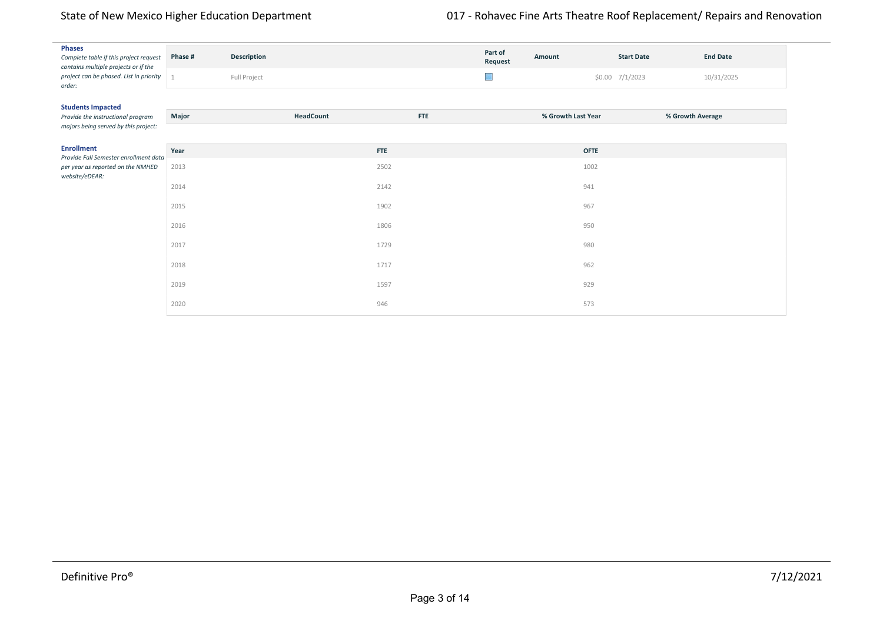| <b>Phases</b><br>Complete table if this project request<br>contains multiple projects or if the | Phase #        | Description  |            | Part of<br>Request | Amount             | <b>Start Date</b> | <b>End Date</b>  |
|-------------------------------------------------------------------------------------------------|----------------|--------------|------------|--------------------|--------------------|-------------------|------------------|
| project can be phased. List in priority<br>order:                                               | $\overline{1}$ | Full Project |            | $\Box$             |                    | $$0.00$ 7/1/2023  | 10/31/2025       |
| <b>Students Impacted</b>                                                                        |                |              |            |                    |                    |                   |                  |
| Provide the instructional program<br>majors being served by this project:                       | Major          | HeadCount    | <b>FTE</b> |                    | % Growth Last Year |                   | % Growth Average |
| <b>Enrollment</b>                                                                               | Year           |              | <b>FTE</b> |                    | <b>OFTE</b>        |                   |                  |
| Provide Fall Semester enrollment data<br>per year as reported on the NMHED<br>website/eDEAR:    | 2013           |              | 2502       |                    | 1002               |                   |                  |
|                                                                                                 | 2014           |              | 2142       |                    | 941                |                   |                  |
|                                                                                                 | 2015           |              | 1902       |                    | 967                |                   |                  |
|                                                                                                 | 2016           |              | 1806       |                    | 950                |                   |                  |
|                                                                                                 | 2017           |              | 1729       |                    | 980                |                   |                  |
|                                                                                                 | 2018           |              | 1717       |                    | 962                |                   |                  |
|                                                                                                 | 2019           |              | 1597       |                    | 929                |                   |                  |
|                                                                                                 | 2020           |              | 946        |                    | 573                |                   |                  |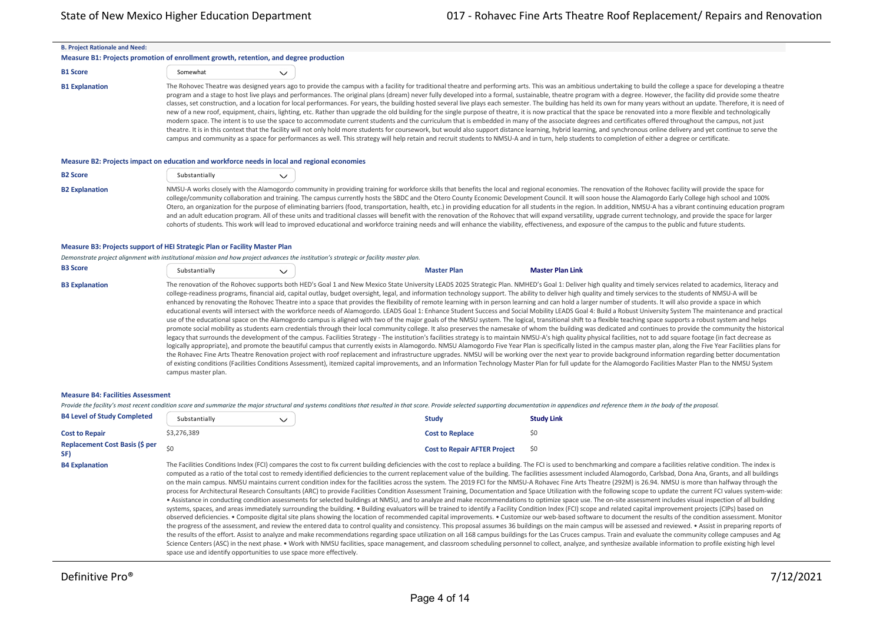| <b>B. Project Rationale and Need:</b> |                                                                                                                                                                                                                                                                                                                                                                                                                                                                                                                                                                                                                                                                                                                                                                                                                                                                                                                                                                                                                                                                                                                                                                                                                                                                                                                                                                                                                                                                                                                                                         |
|---------------------------------------|---------------------------------------------------------------------------------------------------------------------------------------------------------------------------------------------------------------------------------------------------------------------------------------------------------------------------------------------------------------------------------------------------------------------------------------------------------------------------------------------------------------------------------------------------------------------------------------------------------------------------------------------------------------------------------------------------------------------------------------------------------------------------------------------------------------------------------------------------------------------------------------------------------------------------------------------------------------------------------------------------------------------------------------------------------------------------------------------------------------------------------------------------------------------------------------------------------------------------------------------------------------------------------------------------------------------------------------------------------------------------------------------------------------------------------------------------------------------------------------------------------------------------------------------------------|
|                                       | Measure B1: Projects promotion of enrollment growth, retention, and degree production                                                                                                                                                                                                                                                                                                                                                                                                                                                                                                                                                                                                                                                                                                                                                                                                                                                                                                                                                                                                                                                                                                                                                                                                                                                                                                                                                                                                                                                                   |
| <b>B1 Score</b>                       | Somewhat<br>$\checkmark$                                                                                                                                                                                                                                                                                                                                                                                                                                                                                                                                                                                                                                                                                                                                                                                                                                                                                                                                                                                                                                                                                                                                                                                                                                                                                                                                                                                                                                                                                                                                |
| <b>B1 Explanation</b>                 | The Rohovec Theatre was designed years ago to provide the campus with a facility for traditional theatre and performing arts. This was an ambitious undertaking to build the college a space for developing a theatre<br>program and a stage to host live plays and performances. The original plans (dream) never fully developed into a formal, sustainable, theatre program with a degree. However, the facility did provide some theatre<br>classes, set construction, and a location for local performances. For years, the building hosted several live plays each semester. The building has held its own for many years without an update. Therefore, it is need of<br>new of a new roof, equipment, chairs, lighting, etc. Rather than upgrade the old building for the single purpose of theatre, it is now practical that the space be renovated into a more flexible and technologically<br>modern space. The intent is to use the space to accommodate current students and the curriculum that is embedded in many of the associate degrees and certificates offered throughout the campus, not just<br>theatre. It is in this context that the facility will not only hold more students for coursework, but would also support distance learning, hybrid learning, and synchronous online delivery and yet continue to serve the<br>campus and community as a space for performances as well. This strategy will help retain and recruit students to NMSU-A and in turn, help students to completion of either a degree or certificate. |

#### **Measure B2: Projects impact on education and workforce needs in local and regional economies**

| <b>B2 Score</b>       | Substantially                                   | $\checkmark$ |
|-----------------------|-------------------------------------------------|--------------|
| <b>B2 Explanation</b> | NMSU-A works closely with the Alamogordo commun |              |

unity in providing training for workforce skills that benefits the local and regional economies. The renovation of the Rohovec facility will provide the space for college/community collaboration and training. The campus currently hosts the SBDC and the Otero County Economic Development Council. It will soon house the Alamogordo Early College high school and 100% Otero, an organization for the purpose of eliminating barriers (food, transportation, health, etc.) in providing education for all students in the region. In addition, NMSU-A has a vibrant continuing education program and an adult education program. All of these units and traditional classes will benefit with the renovation of the Rohovec that will expand versatility, upgrade current technology, and provide the space for larger cohorts of students. This work will lead to improved educational and workforce training needs and will enhance the viability, effectiveness, and exposure of the campus to the public and future students.

#### **Measure B3: Projects support of HEI Strategic Plan or Facility Master Plan**

*Demonstrate project alignment with institutional mission and how project advances the institution's strategic or facility master plan.*

| <b>B3 Score</b> | Substantially |  | <b>Master Plan</b> | <b>Master Plan Link</b> |
|-----------------|---------------|--|--------------------|-------------------------|
|-----------------|---------------|--|--------------------|-------------------------|

B3 Explanation The renovation of the Rohovec supports both HED's Goal 1 and New Mexico State University LEADS 2025 Strategic Plan. NMHED's Goal 1: Deliver high quality and timely services related to academics, literacy and college-readiness programs, financial aid, capital outlay, budget oversight, legal, and information technology support. The ability to deliver high quality and timely services to the students of NMSU-A will be enhanced by renovating the Rohovec Theatre into a space that provides the flexibility of remote learning with in person learning and can hold a larger number of students. It will also provide a space in which educational events will intersect with the workforce needs of Alamogordo. LEADS Goal 1: Enhance Student Success and Social Mobility LEADS Goal 4: Build a Robust University System The maintenance and practical use of the educational space on the Alamogordo campus is aligned with two of the major goals of the NMSU system. The logical, transitional shift to a flexible teaching space supports a robust system and helps promote social mobility as students earn credentials through their local community college. It also preserves the namesake of whom the building was dedicated and continues to provide the community the historical legacy that surrounds the development of the campus. Facilities Strategy - The institution's facilities strategy is to maintain NMSU‐A's high quality physical facilities, not to add square footage (in fact decrease as logically appropriate), and promote the beautiful campus that currently exists in Alamogordo. NMSU Alamogordo Five Year Plan is specifically listed in the campus master plan, along the Five Year Facilities plans for the Rohavec Fine Arts Theatre Renovation project with roof replacement and infrastructure upgrades. NMSU will be working over the next year to provide background information regarding better documentation of existing conditions (Facilities Conditions Assessment), itemized capital improvements, and an Information Technology Master Plan for full update for the Alamogordo Facilities Master Plan to the NMSU System campus master plan.

#### **Measure B4: Facilities Assessment**

Provide the facility's most recent condition score and summarize the major structural and systems conditions that resulted in that score. Provide selected supporting documentation in appendices and reference them in the bo

| <b>B4 Level of Study Completed</b>    | Substantially | $\checkmark$                                                                                                                                                                                                                                                                                                                | <b>Study</b>                        | <b>Study Link</b> |
|---------------------------------------|---------------|-----------------------------------------------------------------------------------------------------------------------------------------------------------------------------------------------------------------------------------------------------------------------------------------------------------------------------|-------------------------------------|-------------------|
| <b>Cost to Repair</b>                 | \$3.276.389   |                                                                                                                                                                                                                                                                                                                             | <b>Cost to Replace</b>              |                   |
| <b>Replacement Cost Basis (\$ per</b> |               |                                                                                                                                                                                                                                                                                                                             | <b>Cost to Repair AFTER Project</b> | \$0               |
| <b>B4 Explanation</b>                 |               | The Facilities Conditions Index (FCI) compares the cost to fix current building deficiencies with the cost to replace a building. The FCI is used to benchmarking an<br>mouth of the total cost to remedy identified deficiencies to the current replacement value of the building. The facilities assessment included Alam |                                     |                   |

nd compare a facilities relative condition. The index is computed as a ratio of the total cost to remedy identified deficiencies to the current replacement value of the building. The facilities assessment included Alamogordo, Carlsbad, Dona Ana, Grants, and all buildings on the main campus. NMSU maintains current condition index for the facilities across the system. The 2019 FCI for the NMSU-A Rohavec Fine Arts Theatre (292M) is 26.94. NMSU is more than halfway through the process for Architectural Research Consultants (ARC) to provide Facilities Condition Assessment Training, Documentation and Space Utilization with the following scope to update the current FCI values system-wide: • Assistance in conducting condition assessments for selected buildings at NMSU, and to analyze and make recommendations to optimize space use. The on‐site assessment includes visual inspection of all building systems, spaces, and areas immediately surrounding the building. • Building evaluators will be trained to identify a Facility Condition Index (FCI) scope and related capital improvement projects (CIPs) based on observed deficiencies. • Composite digital site plans showing the location of recommended capital improvements. • Customize our web‐based software to document the results of the condition assessment. Monitor the progress of the assessment, and review the entered data to control quality and consistency. This proposal assumes 36 buildings on the main campus will be assessed and reviewed. • Assist in preparing reports of the results of the effort. Assist to analyze and make recommendations regarding space utilization on all 168 campus buildings for the Las Cruces campus. Train and evaluate the community college campuses and Ag Science Centers (ASC) in the next phase. • Work with NMSU facilities, space management, and classroom scheduling personnel to collect, analyze, and synthesize available information to profile existing high level space use and identify opportunities to use space more effectively.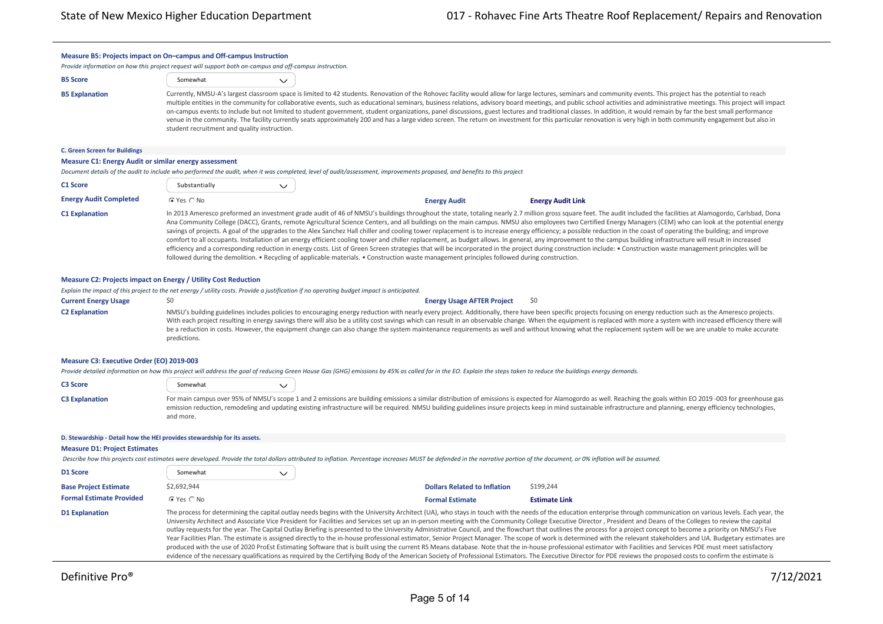| Measure B5: Projects impact on On-campus and Off-campus Instruction                                     |                                              |                                                                                                                                             |                                                                                                                                                                                                                               |                                                                                                                                                                                                                                                                                                                                                                                                                                                                                                                                                                                                                                                                                                                                                                                                                                                                                                                                                                                                                                                                                                                                                                                                                                                                                                                                              |
|---------------------------------------------------------------------------------------------------------|----------------------------------------------|---------------------------------------------------------------------------------------------------------------------------------------------|-------------------------------------------------------------------------------------------------------------------------------------------------------------------------------------------------------------------------------|----------------------------------------------------------------------------------------------------------------------------------------------------------------------------------------------------------------------------------------------------------------------------------------------------------------------------------------------------------------------------------------------------------------------------------------------------------------------------------------------------------------------------------------------------------------------------------------------------------------------------------------------------------------------------------------------------------------------------------------------------------------------------------------------------------------------------------------------------------------------------------------------------------------------------------------------------------------------------------------------------------------------------------------------------------------------------------------------------------------------------------------------------------------------------------------------------------------------------------------------------------------------------------------------------------------------------------------------|
| Provide information on how this project request will support both on-campus and off-campus instruction. |                                              |                                                                                                                                             |                                                                                                                                                                                                                               |                                                                                                                                                                                                                                                                                                                                                                                                                                                                                                                                                                                                                                                                                                                                                                                                                                                                                                                                                                                                                                                                                                                                                                                                                                                                                                                                              |
| <b>B5 Score</b>                                                                                         | Somewhat                                     | $\checkmark$                                                                                                                                |                                                                                                                                                                                                                               |                                                                                                                                                                                                                                                                                                                                                                                                                                                                                                                                                                                                                                                                                                                                                                                                                                                                                                                                                                                                                                                                                                                                                                                                                                                                                                                                              |
| <b>B5 Explanation</b>                                                                                   | student recruitment and quality instruction. |                                                                                                                                             |                                                                                                                                                                                                                               | Currently, NMSU-A's largest classroom space is limited to 42 students. Renovation of the Rohovec facility would allow for large lectures, seminars and community events. This project has the potential to reach<br>multiple entities in the community for collaborative events, such as educational seminars, business relations, advisory board meetings, and public school activities and administrative meetings. This project will impact<br>on-campus events to include but not limited to student government, student organizations, panel discussions, guest lectures and traditional classes. In addition, it would remain by far the best small performance<br>venue in the community. The facility currently seats approximately 200 and has a large video screen. The return on investment for this particular renovation is very high in both community engagement but also in                                                                                                                                                                                                                                                                                                                                                                                                                                                  |
| <b>C. Green Screen for Buildings</b>                                                                    |                                              |                                                                                                                                             |                                                                                                                                                                                                                               |                                                                                                                                                                                                                                                                                                                                                                                                                                                                                                                                                                                                                                                                                                                                                                                                                                                                                                                                                                                                                                                                                                                                                                                                                                                                                                                                              |
| <b>Measure C1: Energy Audit or similar energy assessment</b>                                            |                                              |                                                                                                                                             |                                                                                                                                                                                                                               |                                                                                                                                                                                                                                                                                                                                                                                                                                                                                                                                                                                                                                                                                                                                                                                                                                                                                                                                                                                                                                                                                                                                                                                                                                                                                                                                              |
|                                                                                                         |                                              |                                                                                                                                             | Document details of the audit to include who performed the audit, when it was completed, level of audit/assessment, improvements proposed, and benefits to this project                                                       |                                                                                                                                                                                                                                                                                                                                                                                                                                                                                                                                                                                                                                                                                                                                                                                                                                                                                                                                                                                                                                                                                                                                                                                                                                                                                                                                              |
| C1 Score                                                                                                | Substantially                                | $\checkmark$                                                                                                                                |                                                                                                                                                                                                                               |                                                                                                                                                                                                                                                                                                                                                                                                                                                                                                                                                                                                                                                                                                                                                                                                                                                                                                                                                                                                                                                                                                                                                                                                                                                                                                                                              |
| <b>Energy Audit Completed</b>                                                                           | C Yes C No                                   |                                                                                                                                             | <b>Energy Audit</b>                                                                                                                                                                                                           | <b>Energy Audit Link</b>                                                                                                                                                                                                                                                                                                                                                                                                                                                                                                                                                                                                                                                                                                                                                                                                                                                                                                                                                                                                                                                                                                                                                                                                                                                                                                                     |
| <b>C1 Explanation</b>                                                                                   |                                              |                                                                                                                                             | followed during the demolition. • Recycling of applicable materials. • Construction waste management principles followed during construction.                                                                                 | In 2013 Ameresco preformed an investment grade audit of 46 of NMSU's buildings throughout the state, totaling nearly 2.7 million gross square feet. The audit included the facilities at Alamogordo, Carlsbad, Dona<br>Ana Community College (DACC), Grants, remote Agricultural Science Centers, and all buildings on the main campus. NMSU also employees two Certified Energy Managers (CEM) who can look at the potential energy<br>savings of projects. A goal of the upgrades to the Alex Sanchez Hall chiller and cooling tower replacement is to increase energy efficiency; a possible reduction in the coast of operating the building; and improve<br>comfort to all occupants. Installation of an energy efficient cooling tower and chiller replacement, as budget allows. In general, any improvement to the campus building infrastructure will result in increased<br>efficiency and a corresponding reduction in energy costs. List of Green Screen strategies that will be incorporated in the project during construction include: • Construction waste management principles will be                                                                                                                                                                                                                                     |
| <b>Measure C2: Projects impact on Energy / Utility Cost Reduction</b>                                   |                                              |                                                                                                                                             |                                                                                                                                                                                                                               |                                                                                                                                                                                                                                                                                                                                                                                                                                                                                                                                                                                                                                                                                                                                                                                                                                                                                                                                                                                                                                                                                                                                                                                                                                                                                                                                              |
|                                                                                                         |                                              | Explain the impact of this project to the net energy / utility costs. Provide a justification if no operating budget impact is anticipated. |                                                                                                                                                                                                                               |                                                                                                                                                                                                                                                                                                                                                                                                                                                                                                                                                                                                                                                                                                                                                                                                                                                                                                                                                                                                                                                                                                                                                                                                                                                                                                                                              |
| <b>Current Energy Usage</b>                                                                             | \$0                                          |                                                                                                                                             | <b>Energy Usage AFTER Project</b>                                                                                                                                                                                             | \$0                                                                                                                                                                                                                                                                                                                                                                                                                                                                                                                                                                                                                                                                                                                                                                                                                                                                                                                                                                                                                                                                                                                                                                                                                                                                                                                                          |
| <b>C2 Explanation</b>                                                                                   | predictions.                                 |                                                                                                                                             |                                                                                                                                                                                                                               | NMSU's building guidelines includes policies to encouraging energy reduction with nearly every project. Additionally, there have been specific projects focusing on energy reduction such as the Ameresco projects.<br>With each project resulting in energy savings there will also be a utility cost savings which can result in an observable change. When the equipment is replaced with more a system with increased efficiency there will<br>be a reduction in costs. However, the equipment change can also change the system maintenance requirements as well and without knowing what the replacement system will be we are unable to make accurate                                                                                                                                                                                                                                                                                                                                                                                                                                                                                                                                                                                                                                                                                 |
| Measure C3: Executive Order (EO) 2019-003                                                               |                                              |                                                                                                                                             |                                                                                                                                                                                                                               |                                                                                                                                                                                                                                                                                                                                                                                                                                                                                                                                                                                                                                                                                                                                                                                                                                                                                                                                                                                                                                                                                                                                                                                                                                                                                                                                              |
|                                                                                                         |                                              |                                                                                                                                             | Provide detailed information on how this project will address the goal of reducing Green House Gas (GHG) emissions by 45% as called for in the EO. Explain the steps taken to reduce the buildings energy demands.            |                                                                                                                                                                                                                                                                                                                                                                                                                                                                                                                                                                                                                                                                                                                                                                                                                                                                                                                                                                                                                                                                                                                                                                                                                                                                                                                                              |
| <b>C3 Score</b>                                                                                         | Somewhat                                     | $\checkmark$                                                                                                                                |                                                                                                                                                                                                                               |                                                                                                                                                                                                                                                                                                                                                                                                                                                                                                                                                                                                                                                                                                                                                                                                                                                                                                                                                                                                                                                                                                                                                                                                                                                                                                                                              |
| <b>C3 Explanation</b>                                                                                   | and more.                                    |                                                                                                                                             |                                                                                                                                                                                                                               | For main campus over 95% of NMSU's scope 1 and 2 emissions are building emissions a similar distribution of emissions is expected for Alamogordo as well. Reaching the goals within EO 2019 -003 for greenhouse gas<br>emission reduction, remodeling and updating existing infrastructure will be required. NMSU building guidelines insure projects keep in mind sustainable infrastructure and planning, energy efficiency technologies,                                                                                                                                                                                                                                                                                                                                                                                                                                                                                                                                                                                                                                                                                                                                                                                                                                                                                                  |
| D. Stewardship - Detail how the HEI provides stewardship for its assets.                                |                                              |                                                                                                                                             |                                                                                                                                                                                                                               |                                                                                                                                                                                                                                                                                                                                                                                                                                                                                                                                                                                                                                                                                                                                                                                                                                                                                                                                                                                                                                                                                                                                                                                                                                                                                                                                              |
| <b>Measure D1: Project Estimates</b>                                                                    |                                              |                                                                                                                                             |                                                                                                                                                                                                                               |                                                                                                                                                                                                                                                                                                                                                                                                                                                                                                                                                                                                                                                                                                                                                                                                                                                                                                                                                                                                                                                                                                                                                                                                                                                                                                                                              |
|                                                                                                         |                                              |                                                                                                                                             | Describe how this projects cost estimates were developed. Provide the total dollars attributed to inflation. Percentage increases MUST be defended in the narrative portion of the document, or 0% inflation will be assumed. |                                                                                                                                                                                                                                                                                                                                                                                                                                                                                                                                                                                                                                                                                                                                                                                                                                                                                                                                                                                                                                                                                                                                                                                                                                                                                                                                              |
| D1 Score                                                                                                | Somewhat                                     | $\checkmark$                                                                                                                                |                                                                                                                                                                                                                               |                                                                                                                                                                                                                                                                                                                                                                                                                                                                                                                                                                                                                                                                                                                                                                                                                                                                                                                                                                                                                                                                                                                                                                                                                                                                                                                                              |
| <b>Base Project Estimate</b>                                                                            | \$2,692,944                                  |                                                                                                                                             | <b>Dollars Related to Inflation</b>                                                                                                                                                                                           | \$199,244                                                                                                                                                                                                                                                                                                                                                                                                                                                                                                                                                                                                                                                                                                                                                                                                                                                                                                                                                                                                                                                                                                                                                                                                                                                                                                                                    |
| <b>Formal Estimate Provided</b>                                                                         | C Yes C No                                   |                                                                                                                                             | <b>Formal Estimate</b>                                                                                                                                                                                                        | <b>Estimate Link</b>                                                                                                                                                                                                                                                                                                                                                                                                                                                                                                                                                                                                                                                                                                                                                                                                                                                                                                                                                                                                                                                                                                                                                                                                                                                                                                                         |
| <b>D1 Explanation</b>                                                                                   |                                              |                                                                                                                                             |                                                                                                                                                                                                                               | The process for determining the capital outlay needs begins with the University Architect (UA), who stays in touch with the needs of the education enterprise through communication on various levels. Each year, the<br>University Architect and Associate Vice President for Facilities and Services set up an in-person meeting with the Community College Executive Director, President and Deans of the Colleges to review the capital<br>outlay requests for the year. The Capital Outlay Briefing is presented to the University Administrative Council, and the flowchart that outlines the process for a project concept to become a priority on NMSU's Five<br>Year Facilities Plan. The estimate is assigned directly to the in-house professional estimator, Senior Project Manager. The scope of work is determined with the relevant stakeholders and UA. Budgetary estimates are<br>produced with the use of 2020 ProEst Estimating Software that is built using the current RS Means database. Note that the in-house professional estimator with Facilities and Services PDE must meet satisfactory<br>evidence of the necessary qualifications as required by the Certifying Body of the American Society of Professional Estimators. The Executive Director for PDE reviews the proposed costs to confirm the estimate is |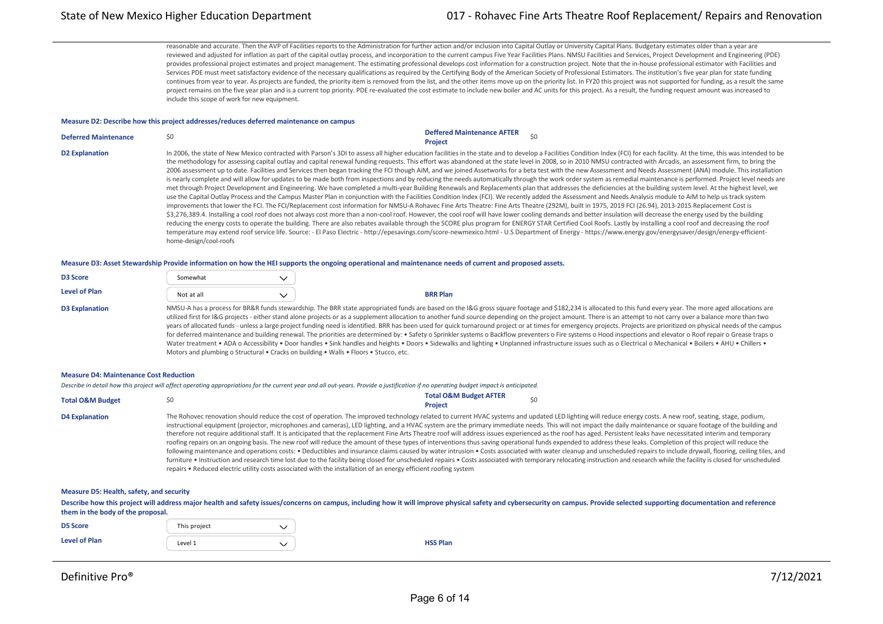reasonable and accurate. Then the AVP of Facilities reports to the Administration for further action and/or inclusion into Capital Outlay or University Capital Plans. Budgetary estimates older than a year are reviewed and adjusted for inflation as part of the capital outlay process, and incorporation to the current campus Five Year Facilities Plans. NMSU Facilities and Services, Project Development and Engineering (PDE) provides professional project estimates and project management. The estimating professional develops cost information for a construction project. Note that the in-house professional estimator with Facilities and Services PDE must meet satisfactory evidence of the necessary qualifications as required by the Certifying Body of the American Society of Professional Estimators. The institution's five year plan for state funding continues from year to year. As projects are funded, the priority item is removed from the list, and the other items move up on the priority list. In FY20 this project was not supported for funding, as a result the same project remains on the five year plan and is a current top priority. PDE re-evaluated the cost estimate to include new boiler and AC units for this project. As a result, the funding request amount was increased to include this scope of work for new equipment.

### **Measure D2: Describe how this project addresses/reduces deferred maintenance on campus**

| <b>Deferred Maintenance</b> | \$0                                                                                                                                                                                                                                                                                                                                                                                                                                                                                                                                                                                                                                                                                                                                                                                                                                                                                                                                                                                                                                                                                                                                                                                                                                                                                                                                                                                                                                                                                                                                                                                                                                                                                                                                                                                                                                                                                                                                                                                                                                                                                                                                                                                                                         | <b>Deffered Maintenance AFTER</b><br><b>Project</b> |  |
|-----------------------------|-----------------------------------------------------------------------------------------------------------------------------------------------------------------------------------------------------------------------------------------------------------------------------------------------------------------------------------------------------------------------------------------------------------------------------------------------------------------------------------------------------------------------------------------------------------------------------------------------------------------------------------------------------------------------------------------------------------------------------------------------------------------------------------------------------------------------------------------------------------------------------------------------------------------------------------------------------------------------------------------------------------------------------------------------------------------------------------------------------------------------------------------------------------------------------------------------------------------------------------------------------------------------------------------------------------------------------------------------------------------------------------------------------------------------------------------------------------------------------------------------------------------------------------------------------------------------------------------------------------------------------------------------------------------------------------------------------------------------------------------------------------------------------------------------------------------------------------------------------------------------------------------------------------------------------------------------------------------------------------------------------------------------------------------------------------------------------------------------------------------------------------------------------------------------------------------------------------------------------|-----------------------------------------------------|--|
| <b>D2 Explanation</b>       | In 2006, the state of New Mexico contracted with Parson's 3DI to assess all higher education facilities in the state and to develop a Facilities Condition Index (FCI) for each facility. At the time, this was intended to be<br>the methodology for assessing capital outlay and capital renewal funding requests. This effort was abandoned at the state level in 2008, so in 2010 NMSU contracted with Arcadis, an assessment firm, to bring the<br>2006 assessment up to date. Facilities and Services then began tracking the FCI though AiM, and we joined Assetworks for a beta test with the new Assessment and Needs Assessment (ANA) module. This installation<br>is nearly complete and will allow for updates to be made both from inspections and by reducing the needs automatically through the work order system as remedial maintenance is performed. Project level needs are<br>met through Project Development and Engineering. We have completed a multi-year Building Renewals and Replacements plan that addresses the deficiencies at the building system level. At the highest level, we<br>use the Capital Outlay Process and the Campus Master Plan in conjunction with the Facilities Condition Index (FCI). We recently added the Assessment and Needs Analysis module to AiM to help us track system<br>improvements that lower the FCI. The FCI/Replacement cost information for NMSU-A Rohavec Fine Arts Theatre: Fine Arts Theatre (292M), built in 1975, 2019 FCI (26.94), 2013-2015 Replacement Cost is<br>\$3,276,389.4. Installing a cool roof does not always cost more than a non-cool roof. However, the cool roof will have lower cooling demands and better insulation will decrease the energy used by the building<br>reducing the energy costs to operate the building. There are also rebates available through the SCORE plus program for ENERGY STAR Certified Cool Roofs. Lastly by installing a cool roof and decreasing the roof<br>temperature may extend roof service life. Source: - El Paso Electric - http://epesavings.com/score-newmexico.html - U.S Department of Energy - https://www.energy.gov/energysaver/design/energy-efficient-<br>home-design/cool-roofs |                                                     |  |

**Measure D3: Asset Stewardship Provide information on how the HEI supports the ongoing operational and maintenance needs of current and proposed assets.**

| <b>D3 Score</b>      | Somewhat   |                 |
|----------------------|------------|-----------------|
| <b>Level of Plan</b> | Not at all | <b>BRR Plan</b> |

D3 Explanation MMSU-A has a process for BR&R funds stewardship. The BRR state appropriated funds are based on the I&G gross square footage and \$182,234 is allocated to this fund every year. The more aged allocations are utilized first for I&G projects - either stand alone projects or as a supplement allocation to another fund source depending on the project amount. There is an attempt to not carry over a balance more than two years of allocated funds - unless a large project funding need is identified. BRR has been used for quick turnaround project or at times for emergency projects. Projects are prioritized on physical needs of the campus for deferred maintenance and building renewal. The priorities are determined by: • Safety o Sprinkler systems o Backflow preventers o Fire systems o Hood inspections and elevator o Roof repair o Grease traps o Water treatment • ADA o Accessibility • Door handles • Sink handles and heights • Doors • Sidewalks and lighting • Unplanned infrastructure issues such as o Electrical o Mechanical • Boilers • AHU • Chillers • Motors and plumbing o Structural • Cracks on building • Walls • Floors • Stucco, etc.

### **Measure D4: Maintenance Cost Reduction**

*Describe in detail how this project will affect operating appropriations for the current year and all out‐years. Provide a justification if no operating budget impact is anticipated.*

| <b>Total O&amp;M Budget</b> |                                                                                                                                                                                                                                                                                                                                                                                                                                                                                                                                                                                                                                                                                                                                                                                                                                                                                                                                                                                                                                                                                                                                                                                                                              | <b>Total O&amp;M Budget AFTER</b><br><b>Project</b> | S0                                                                                                                                                                                                                      |
|-----------------------------|------------------------------------------------------------------------------------------------------------------------------------------------------------------------------------------------------------------------------------------------------------------------------------------------------------------------------------------------------------------------------------------------------------------------------------------------------------------------------------------------------------------------------------------------------------------------------------------------------------------------------------------------------------------------------------------------------------------------------------------------------------------------------------------------------------------------------------------------------------------------------------------------------------------------------------------------------------------------------------------------------------------------------------------------------------------------------------------------------------------------------------------------------------------------------------------------------------------------------|-----------------------------------------------------|-------------------------------------------------------------------------------------------------------------------------------------------------------------------------------------------------------------------------|
| <b>D4 Explanation</b>       | The Rohovec renovation should reduce the cost of operation. The improved technology related to current HVAC systems and updated LED lighting will reduce energy costs. A new roof, seating, stage, podium,<br>instructional equipment (projector, microphones and cameras), LED lighting, and a HVAC system are the primary immediate needs. This will not impact the daily maintenance or square footage of the building and<br>therefore not require additional staff. It is anticipated that the replacement Fine Arts Theatre roof will address issues experienced as the roof has aged. Persistent leaks have necessitated interim and temporary<br>roofing repairs on an ongoing basis. The new roof will reduce the amount of these types of interventions thus saving operational funds expended to address these leaks. Completion of this project will reduce the<br>furniture . Instruction and research time lost due to the facility being closed for unscheduled repairs . Costs associated with temporary relocating instruction and research while the facility is closed for unscheduled<br>repairs • Reduced electric utility costs associated with the installation of an energy efficient roofing system |                                                     | following maintenance and operations costs: • Deductibles and insurance claims caused by water intrusion • Costs associated with water cleanup and unscheduled repairs to include drywall, flooring, ceiling tiles, and |

#### **Measure D5: Health, safety, and security**

Describe how this project will address major health and safety issues/concerns on campus, including how it will improve physical safety and cybersecurity on campus. Provide selected supporting documentation and reference **them in the body of the proposal.**

,我们也不能在这里的时候,我们也不能在这里的时候,我们也不能不能不能不能不能不能不能不能不能不能不能不能不能不能不能。""我们,我们也不能不能不能不能不能不能不能

| <b>D5 Score</b>      | This project |  |
|----------------------|--------------|--|
| <b>Level of Plan</b> | Level 1      |  |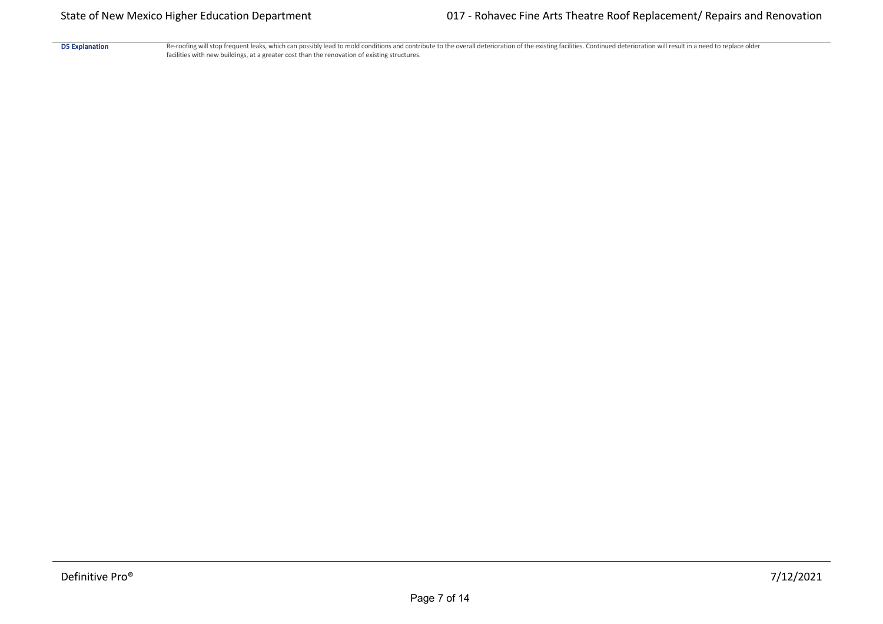D5 Explanation Re-roofing will stop frequent leaks, which can possibly lead to mold conditions and contribute to the overall deterioration of the existing facilities. Continued deterioration will result in a need to replac facilities with new buildings, at a greater cost than the renovation of existing structures.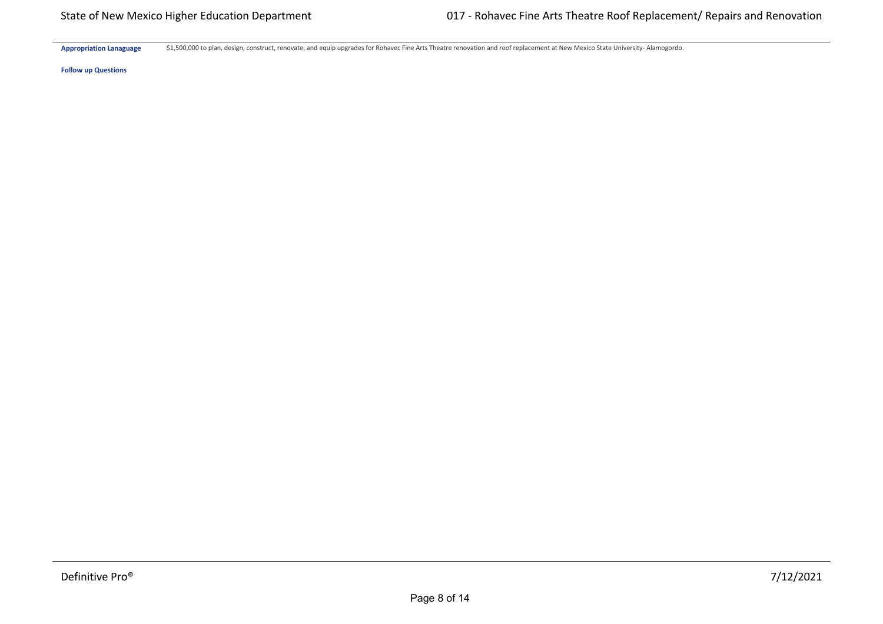Appropriation Lanaguage \$1,500,000 to plan, design, construct, renovate, and equip upgrades for Rohavec Fine Arts Theatre renovation and roof replacement at New Mexico State University- Alamogordo.

**Follow up Questions**

**Hardware \$** \$0 \$0 \$0 \$0 \$0 \$0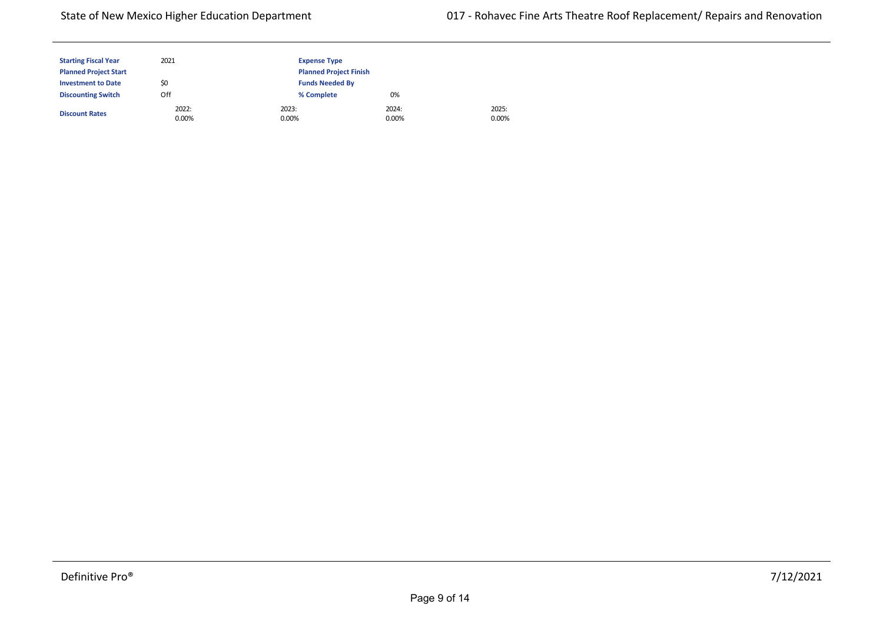2025: 0.00%

| <b>Starting Fiscal Year</b>  | 2021           | <b>Expense Type</b>           |                |  |
|------------------------------|----------------|-------------------------------|----------------|--|
| <b>Planned Project Start</b> |                | <b>Planned Project Finish</b> |                |  |
| <b>Investment to Date</b>    | \$0            | <b>Funds Needed By</b>        |                |  |
| <b>Discounting Switch</b>    | Off            | % Complete                    | 0%             |  |
| <b>Discount Rates</b>        | 2022:<br>0.00% | 2023:<br>0.00%                | 2024:<br>0.00% |  |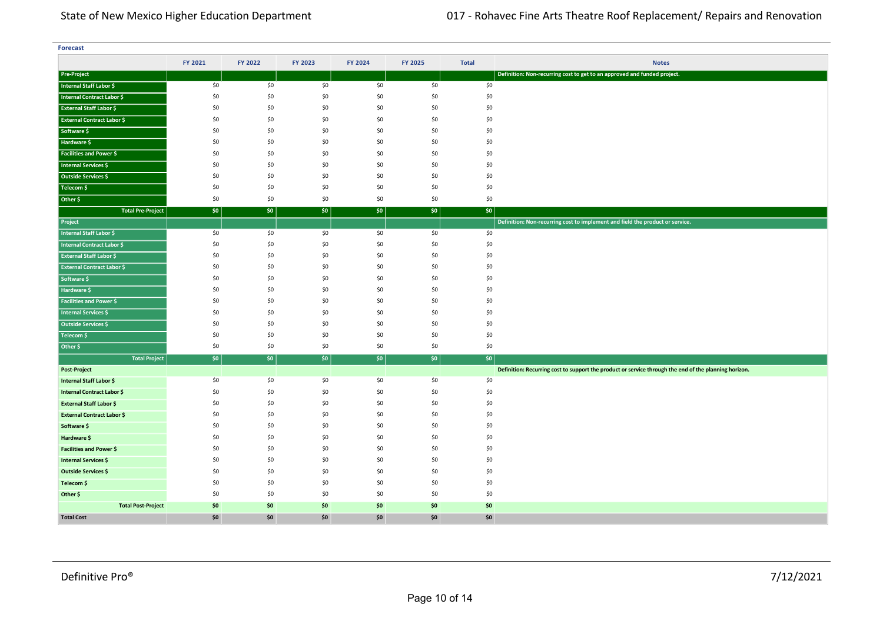| <b>Forecast</b>                   |            |            |            |            |            |              |                                                                                                       |
|-----------------------------------|------------|------------|------------|------------|------------|--------------|-------------------------------------------------------------------------------------------------------|
|                                   | FY 2021    | FY 2022    | FY 2023    | FY 2024    | FY 2025    | <b>Total</b> | <b>Notes</b>                                                                                          |
| <b>Pre-Project</b>                |            |            |            |            |            |              | Definition: Non-recurring cost to get to an approved and funded project.                              |
| Internal Staff Labor \$           | \$0        | \$0        | \$0        | \$0        | \$0        | \$0          |                                                                                                       |
| Internal Contract Labor \$        | \$0        | \$0        | \$0        | \$0        | \$0        | \$0          |                                                                                                       |
| <b>External Staff Labor \$</b>    | \$0        | \$0        | \$0        | \$0        | \$0        | \$0          |                                                                                                       |
| <b>External Contract Labor \$</b> | \$0        | \$0        | \$0        | \$0        | \$0        | \$0          |                                                                                                       |
| Software \$                       | \$0        | \$0        | \$0        | \$0        | \$0        | \$0          |                                                                                                       |
| Hardware \$                       | \$0        | \$0        | \$0        | \$0        | \$0        | \$0          |                                                                                                       |
| <b>Facilities and Power \$</b>    | \$0        | \$0        | \$0        | \$0        | \$0        | \$0          |                                                                                                       |
| Internal Services \$              | \$0        | \$0        | \$0        | \$0        | \$0        | \$0          |                                                                                                       |
| Outside Services \$               | \$0        | \$0        | \$0        | \$0        | \$0        | \$0          |                                                                                                       |
| Telecom \$                        | \$0        | \$0        | \$0        | \$0        | \$0        | \$0          |                                                                                                       |
| Other \$                          | \$0        | \$0        | \$0        | \$0        | \$0        | \$0          |                                                                                                       |
| <b>Total Pre-Project</b>          | \$0        | \$0        | \$0        | \$0        | \$0        | \$0\$        |                                                                                                       |
| Project                           |            |            |            |            |            |              | Definition: Non-recurring cost to implement and field the product or service.                         |
| <b>Internal Staff Labor \$</b>    | \$0        | \$0        | \$0        | \$0        | \$0        | \$0          |                                                                                                       |
| <b>Internal Contract Labor \$</b> | \$0        | \$0        | \$0        | \$0        | \$0        | \$0          |                                                                                                       |
| <b>External Staff Labor \$</b>    | \$0        | \$0        | \$0        | \$0        | \$0        | \$0          |                                                                                                       |
| <b>External Contract Labor \$</b> | \$0        | \$0        | \$0        | \$0        | \$0        | \$0          |                                                                                                       |
| Software \$                       | \$0        | \$0        | \$0        | \$0        | \$0        | \$0          |                                                                                                       |
| Hardware \$                       | \$0        | \$0        | \$0        | \$0        | \$0        | \$0          |                                                                                                       |
| <b>Facilities and Power \$</b>    | \$0        | \$0        | \$0        | \$0        | \$0        | \$0          |                                                                                                       |
| <b>Internal Services \$</b>       | \$0        | \$0        | \$0        | \$0        | \$0        | \$0          |                                                                                                       |
| Outside Services \$               | \$0        | \$0        | \$0        | \$0        | \$0        | \$0          |                                                                                                       |
| Telecom \$                        | \$0        | \$0        | \$0        | \$0        | \$0        | \$0          |                                                                                                       |
| Other \$                          | \$0        | \$0        | \$0        | \$0        | \$0        | \$0          |                                                                                                       |
| <b>Total Project</b>              | \$0        | \$0        | \$0\$      | \$0        | \$0        | $ $ \$0      |                                                                                                       |
| <b>Post-Project</b>               |            |            |            |            |            |              | Definition: Recurring cost to support the product or service through the end of the planning horizon. |
| Internal Staff Labor \$           | \$0        | \$0        | \$0        | \$0        | \$0        | \$0          |                                                                                                       |
| <b>Internal Contract Labor \$</b> | \$0        | \$0        | \$0        | \$0        | \$0        | \$0          |                                                                                                       |
| <b>External Staff Labor \$</b>    | \$0        | \$0        | \$0        | \$0        | \$0        | \$0          |                                                                                                       |
| <b>External Contract Labor \$</b> | \$0        | \$0        | \$0        | \$0        | \$0        | \$0          |                                                                                                       |
| Software \$                       | \$0        | \$0        | \$0        | \$0        | \$0        | \$0          |                                                                                                       |
| Hardware \$                       | \$0<br>\$0 | \$0        | \$0        | \$0        | \$0<br>\$0 | \$0          |                                                                                                       |
| <b>Facilities and Power \$</b>    |            | \$0        | \$0        | \$0        |            | \$0          |                                                                                                       |
| <b>Internal Services \$</b>       | \$0<br>\$0 | \$0<br>\$0 | \$0<br>\$0 | \$0<br>\$0 | \$0<br>\$0 | \$0<br>\$0   |                                                                                                       |
| Outside Services \$               | \$0        | \$0        | \$0        | \$0        | \$0        | \$0          |                                                                                                       |
| Telecom \$                        |            | \$0        |            |            |            |              |                                                                                                       |
| Other \$                          | \$0        |            | \$0        | \$0        | \$0        | \$0          |                                                                                                       |
| <b>Total Post-Project</b>         | \$0        | \$0        | \$0        | \$0        | \$0        | \$0          |                                                                                                       |
| <b>Total Cost</b>                 | \$0        | \$0        | \$0        | \$0        | \$0        | \$0          |                                                                                                       |

**<Source 1> \$** \$0 \$0 \$0 \$0 \$0 \$0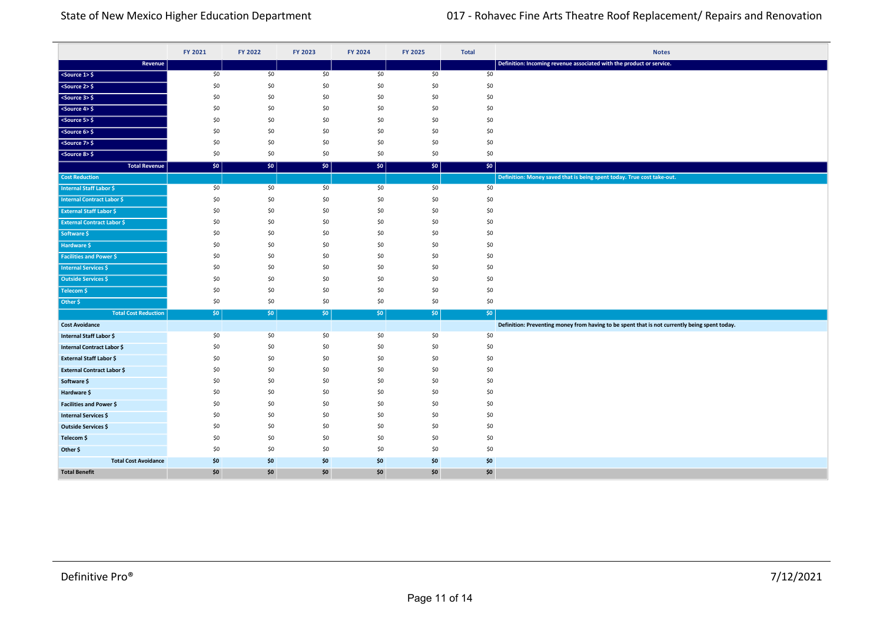|                                                      | FY 2021    | <b>FY 2022</b> | FY 2023    | FY 2024    | FY 2025    | <b>Total</b> | <b>Notes</b>                                                                                  |
|------------------------------------------------------|------------|----------------|------------|------------|------------|--------------|-----------------------------------------------------------------------------------------------|
| Revenue                                              |            |                |            |            |            |              | Definition: Incoming revenue associated with the product or service.                          |
| $ $ <source 1=""/> \$                                | \$0        | \$0            | \$0        | \$0        | \$0        | \$0          |                                                                                               |
| $<$ Source 2> $\frac{6}{5}$                          | \$0        | \$0            | \$0        | \$0        | \$0        | \$0          |                                                                                               |
| $<$ Source 3> $\frac{6}{5}$                          | \$0        | \$0            | \$0        | \$0        | \$0        | \$0          |                                                                                               |
| $<$ Source 4> $\frac{6}{7}$                          | \$0        | \$0            | \$0        | \$0        | \$0        | \$0          |                                                                                               |
| $<$ Source 5> $\frac{1}{2}$                          | \$0        | \$0            | \$0        | \$0        | \$0        | \$0          |                                                                                               |
| $<$ Source 6> $\frac{6}{5}$                          | \$0        | \$0            | \$0        | \$0        | \$0        | \$0          |                                                                                               |
| $<$ Source 7> $\frac{1}{2}$                          | \$0        | \$0            | \$0        | \$0        | \$0        | \$0          |                                                                                               |
| $<$ Source 8> $\frac{1}{2}$                          | \$0        | \$0            | \$0        | \$0        | \$0        | \$0          |                                                                                               |
| <b>Total Revenue</b>                                 | \$0        | \$0            | \$0        | \$0        | \$0        | \$0          |                                                                                               |
| <b>Cost Reduction</b>                                |            |                |            |            |            |              | Definition: Money saved that is being spent today. True cost take-out.                        |
| Internal Staff Labor \$                              | \$0        | \$0            | \$0        | \$0        | \$0        | \$0          |                                                                                               |
| <b>Internal Contract Labor \$</b>                    | \$0        | \$0            | \$0        | \$0        | \$0        | \$0          |                                                                                               |
| <b>External Staff Labor \$</b>                       | \$0        | \$0            | \$0        | \$0        | \$0        | \$0          |                                                                                               |
| <b>External Contract Labor \$</b>                    | \$0        | \$0            | \$0        | \$0        | \$0        | \$0          |                                                                                               |
| Software \$                                          | \$0        | \$0            | \$0        | \$0        | \$0        | \$0          |                                                                                               |
| Hardware \$                                          | \$0        | \$0            | \$0        | \$0        | \$0        | \$0          |                                                                                               |
| <b>Facilities and Power \$</b>                       | \$0<br>\$0 | \$0<br>\$0     | \$0        | \$0        | \$0<br>\$0 | \$0          |                                                                                               |
| Internal Services \$                                 | \$0        | \$0            | \$0<br>\$0 | \$0<br>\$0 | \$0        | \$0<br>\$0   |                                                                                               |
| Outside Services \$                                  | \$0        | \$0            | \$0        | \$0        | \$0        | \$0          |                                                                                               |
| Telecom \$                                           | \$0        | \$0            | \$0        | \$0        | \$0        | \$0          |                                                                                               |
| Other \$                                             |            |                |            |            |            |              |                                                                                               |
| <b>Total Cost Reduction</b><br><b>Cost Avoidance</b> | \$0        | $ $ \$0        | $ $ \$0    | \$0\$      | 50         | \$0          | Definition: Preventing money from having to be spent that is not currently being spent today. |
| Internal Staff Labor \$                              | \$0        | \$0            | \$0        | \$0        | \$0        | \$0          |                                                                                               |
| Internal Contract Labor \$                           | \$0        | \$0            | \$0        | \$0        | \$0        | \$0          |                                                                                               |
| <b>External Staff Labor \$</b>                       | \$0        | \$0            | \$0        | \$0        | \$0        | \$0          |                                                                                               |
| <b>External Contract Labor \$</b>                    | \$0        | \$0            | \$0        | \$0        | \$0        | \$0          |                                                                                               |
| Software \$                                          | \$0        | \$0            | \$0        | \$0        | \$0        | \$0          |                                                                                               |
| Hardware \$                                          | \$0        | \$0            | \$0        | \$0        | \$0        | \$0          |                                                                                               |
| Facilities and Power \$                              | \$0        | \$0            | \$0        | \$0        | \$0        | \$0          |                                                                                               |
| <b>Internal Services \$</b>                          | \$0        | \$0            | \$0        | \$0        | \$0        | \$0          |                                                                                               |
| <b>Outside Services \$</b>                           | \$0        | \$0            | \$0        | \$0        | \$0        | \$0          |                                                                                               |
| Telecom \$                                           | \$0        | \$0            | \$0        | \$0        | \$0        | \$0          |                                                                                               |
| Other \$                                             | \$0        | \$0            | \$0        | \$0        | \$0        | \$0          |                                                                                               |
| <b>Total Cost Avoidance</b>                          | \$0        | \$0            | \$0        | \$0        | \$0        | \$0          |                                                                                               |
| <b>Total Benefit</b>                                 | \$0        | \$0            | \$0        | \$0        | \$0        | \$0          |                                                                                               |

**Total Cost Reduction** \$0 \$0 \$0 \$0 \$0 \$0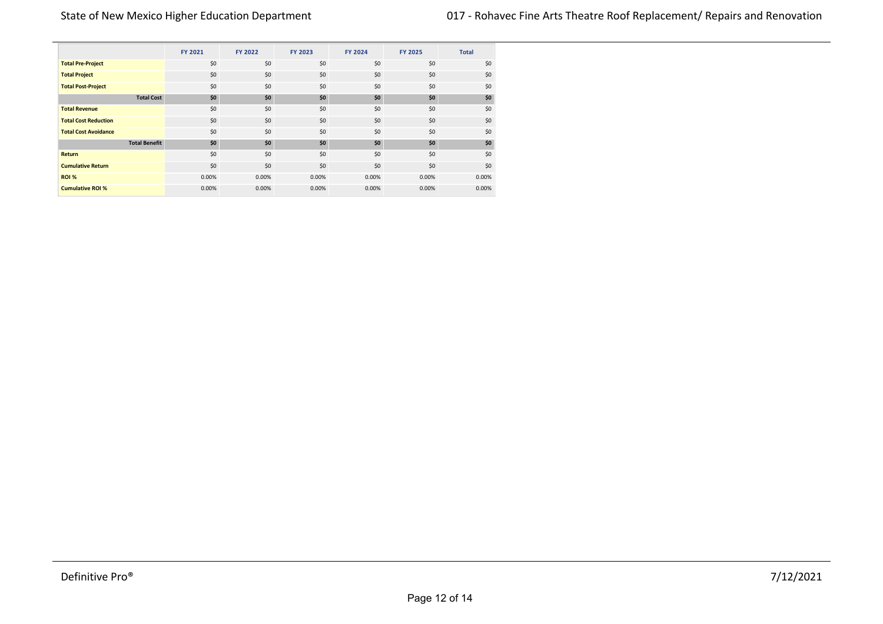|                             |                      | <b>FY 2021</b> | <b>FY 2022</b> | FY 2023 | <b>FY 2024</b> | <b>FY 2025</b> | <b>Total</b> |
|-----------------------------|----------------------|----------------|----------------|---------|----------------|----------------|--------------|
| <b>Total Pre-Project</b>    |                      | \$0            | \$0            | \$0     | \$0            | \$0            | \$0          |
| <b>Total Project</b>        |                      | \$0            | \$0            | \$0     | \$0            | \$0            | \$0          |
| <b>Total Post-Project</b>   |                      | \$0            | \$0            | \$0     | \$0            | \$0            | \$0          |
|                             | <b>Total Cost</b>    | \$0            | \$0            | \$0     | \$0            | \$0            | \$0          |
| <b>Total Revenue</b>        |                      | \$0            | \$0            | \$0     | \$0            | \$0            | \$0          |
| <b>Total Cost Reduction</b> |                      | \$0            | \$0            | \$0     | \$0            | \$0            | \$0          |
| <b>Total Cost Avoidance</b> |                      | \$0            | \$0            | \$0     | \$0            | \$0            | \$0          |
|                             | <b>Total Benefit</b> | \$0            | \$0            | \$0     | \$0            | \$0            | \$0          |
| Return                      |                      | \$0            | \$0            | \$0     | \$0            | \$0            | \$0          |
| <b>Cumulative Return</b>    |                      | \$0            | \$0            | \$0     | \$0            | \$0            | \$0          |
| ROI %                       |                      | 0.00%          | 0.00%          | 0.00%   | 0.00%          | 0.00%          | 0.00%        |
| <b>Cumulative ROI %</b>     |                      | 0.00%          | 0.00%          | 0.00%   | 0.00%          | 0.00%          | 0.00%        |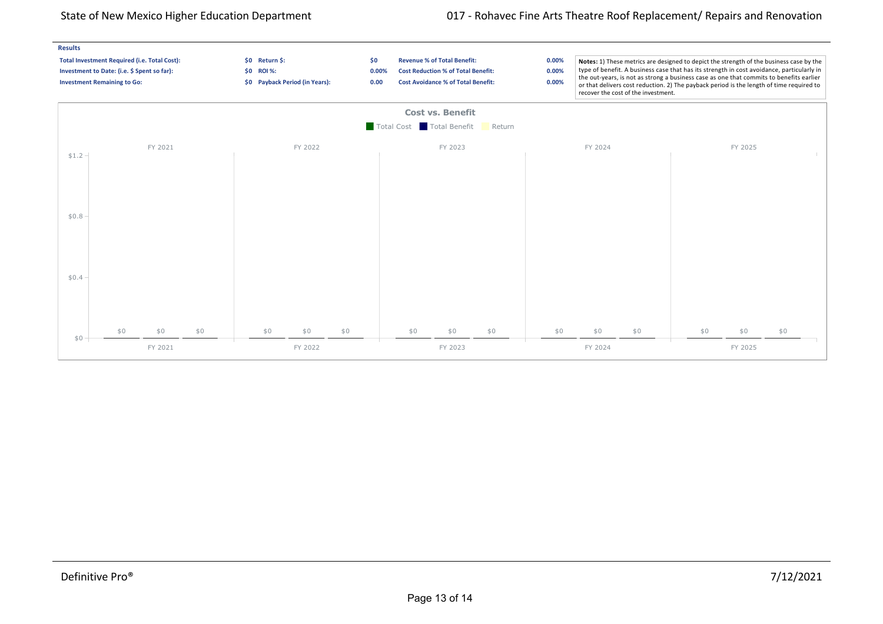## State of New Mexico Higher Education Department 017 - Rohavec Fine Arts Theatre Roof Replacement/ Repairs and Renovation